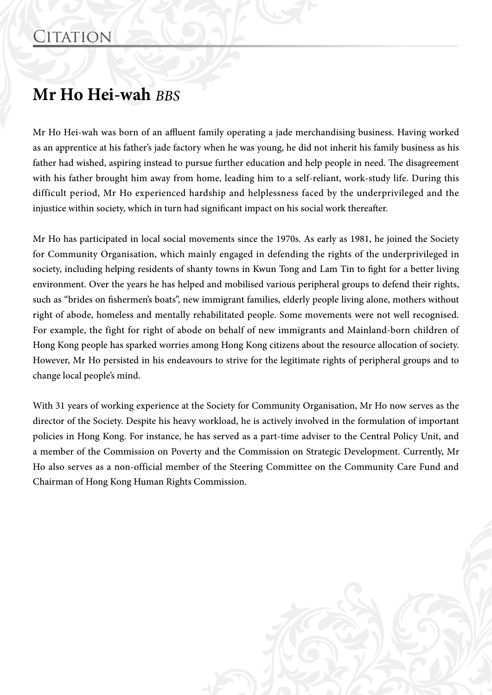## **Mr Ho Hei-wah** *BBS*

Mr Ho Hei-wah was born of an affluent family operating a jade merchandising business. Having worked as an apprentice at his father's jade factory when he was young, he did not inherit his family business as his father had wished, aspiring instead to pursue further education and help people in need. The disagreement with his father brought him away from home, leading him to a self-reliant, work-study life. During this difficult period, Mr Ho experienced hardship and helplessness faced by the underprivileged and the injustice within society, which in turn had significant impact on his social work thereafter.

Mr Ho has participated in local social movements since the 1970s. As early as 1981, he joined the Society for Community Organisation, which mainly engaged in defending the rights of the underprivileged in society, including helping residents of shanty towns in Kwun Tong and Lam Tin to fight for a better living environment. Over the years he has helped and mobilised various peripheral groups to defend their rights, such as "brides on fishermen's boats", new immigrant families, elderly people living alone, mothers without right of abode, homeless and mentally rehabilitated people. Some movements were not well recognised. For example, the fight for right of abode on behalf of new immigrants and Mainland-born children of Hong Kong people has sparked worries among Hong Kong citizens about the resource allocation of society. However, Mr Ho persisted in his endeavours to strive for the legitimate rights of peripheral groups and to change local people's mind.

With 31 years of working experience at the Society for Community Organisation, Mr Ho now serves as the director of the Society. Despite his heavy workload, he is actively involved in the formulation of important policies in Hong Kong. For instance, he has served as a part-time adviser to the Central Policy Unit, and a member of the Commission on Poverty and the Commission on Strategic Development. Currently, Mr Ho also serves as a non-official member of the Steering Committee on the Community Care Fund and Chairman of Hong Kong Human Rights Commission.